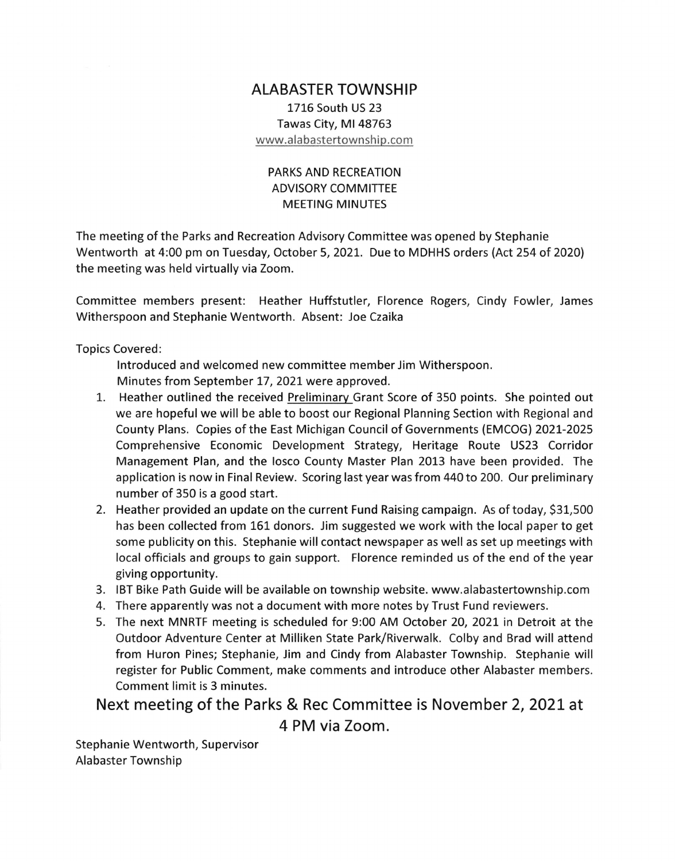## ALABASTER TOWNSHIP 1716 South US 23 Tawas City, Ml 48763 www.alabastertownship.com

## PARKS AND RECREATION ADVISORY COMMITTEE MEETING MINUTES

The meeting of the Parks and Recreation Advisory Committee was opened by Stephanie Wentworth at 4:00 pm on Tuesday, October 5,2027. Due to MDHHS orders (Act 254 of 2020) the meeting was held virtually via Zoom.

Committee members present: Heather Huffstutler, Florence Rogers, Cindy Fowler, James Witherspoon and Stephanie Wentworth. Absent: Joe Czaika

Topics Covered:

lntroduced and welcomed new committee member Jim Witherspoon. Minutes from September 17, 2021 were approved.

- 1. Heather outlined the received Preliminarv Grant Score of 350 points. She pointed out we are hopeful we will be able to boost our Regional Planning Section with Regional and County Plans. Copies of the East Michigan Council of Governments (EMCOG) 2021-2025 Comprehensive Economic Development Strategy, Heritage Route US23 Corridor Management Plan, and the losco County Master Plan 2013 have been provided. The application is now in Final Review. Scoring last year was from 440 to 200. Our preliminary number of 350 is a good start.
- 2. Heather provided an update on the current Fund Raising campaign. As of today, 531,500 has been collected from 161 donors. Jim suggested we work with the local paper to get some publicity on this. Stephanie will contact newspaper as well as set up meetings with local officials and groups to gain support. Florence reminded us of the end of the year giving opportunity.
- 3. IBT Bike Path Guide will be available on township website. www.alabastertownship.com
- 4. There apparently was not a document with more notes by Trust Fund reviewers.
- 5. The next MNRTF meeting is scheduled for 9:00 AM October 20, 2O2L in Detroit at the Outdoor Adventure Center at Milliken State Park/Riverwalk. Colby and Brad will attend from Huron Pines; Stephanie, Jim and Cindy from Alabaster Township. Stephanie will register for Public Comment, make comments and introduce other Alabaster members. Comment limit is 3 minutes.

Next meeting of the Parks & Rec Committee is November 2, 2021 at 4 PM via Zoom.

Stephanie Wentworth, Supervisor Alabaster Township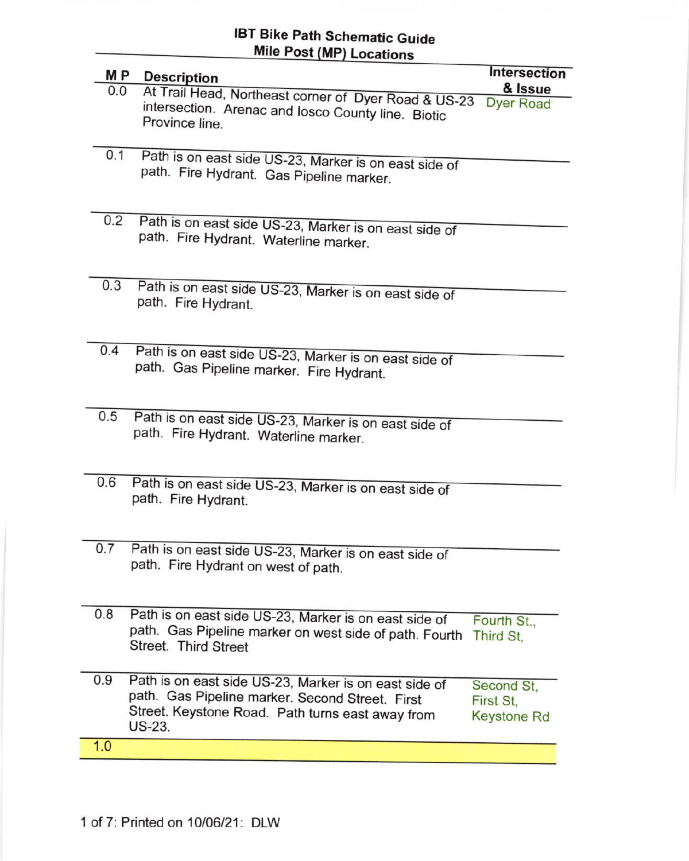## IBT Bike Path Schematic Guide Mile Post (MP) Locations

| M P | <b>Description</b>                                     | Intersection             |
|-----|--------------------------------------------------------|--------------------------|
| 0.0 | At Trail Head, Northeast corner of Dyer Road & US-23   | & Issue                  |
|     | intersection. Arenac and losco County line. Biotic     | <b>Dyer Road</b>         |
|     | Province line.                                         |                          |
|     |                                                        |                          |
| 0.1 | Path is on east side US-23, Marker is on east side of  |                          |
|     | path. Fire Hydrant. Gas Pipeline marker.               |                          |
|     |                                                        |                          |
|     |                                                        |                          |
| 0.2 | Path is on east side US-23, Marker is on east side of  |                          |
|     | path. Fire Hydrant. Waterline marker.                  |                          |
|     |                                                        |                          |
|     |                                                        |                          |
| 0.3 | Path is on east side US-23, Marker is on east side of  |                          |
|     | path. Fire Hydrant.                                    |                          |
|     |                                                        |                          |
|     |                                                        |                          |
| 0.4 | Path is on east side US-23, Marker is on east side of  |                          |
|     | path. Gas Pipeline marker. Fire Hydrant.               |                          |
|     |                                                        |                          |
|     |                                                        |                          |
| 0.5 | Path is on east side US-23, Marker is on east side of  |                          |
|     | path. Fire Hydrant. Waterline marker.                  |                          |
|     |                                                        |                          |
|     |                                                        |                          |
| 0.6 | Path is on east side US-23, Marker is on east side of  |                          |
|     | path. Fire Hydrant.                                    |                          |
|     |                                                        |                          |
|     |                                                        |                          |
| 0.7 | Path is on east side US-23, Marker is on east side of  |                          |
|     | path. Fire Hydrant on west of path.                    |                          |
|     |                                                        |                          |
|     |                                                        |                          |
| 0.8 | Path is on east side US-23, Marker is on east side of  |                          |
|     | path. Gas Pipeline marker on west side of path. Fourth | Fourth St.,<br>Third St, |
|     | Street. Third Street                                   |                          |
|     |                                                        |                          |
| 0.9 | Path is on east side US-23, Marker is on east side of  |                          |
|     | path. Gas Pipeline marker. Second Street. First        | Second St,<br>First St.  |
|     | Street. Keystone Road. Path turns east away from       | <b>Keystone Rd</b>       |
|     | US-23.                                                 |                          |
| 1.0 |                                                        |                          |
|     |                                                        |                          |

l,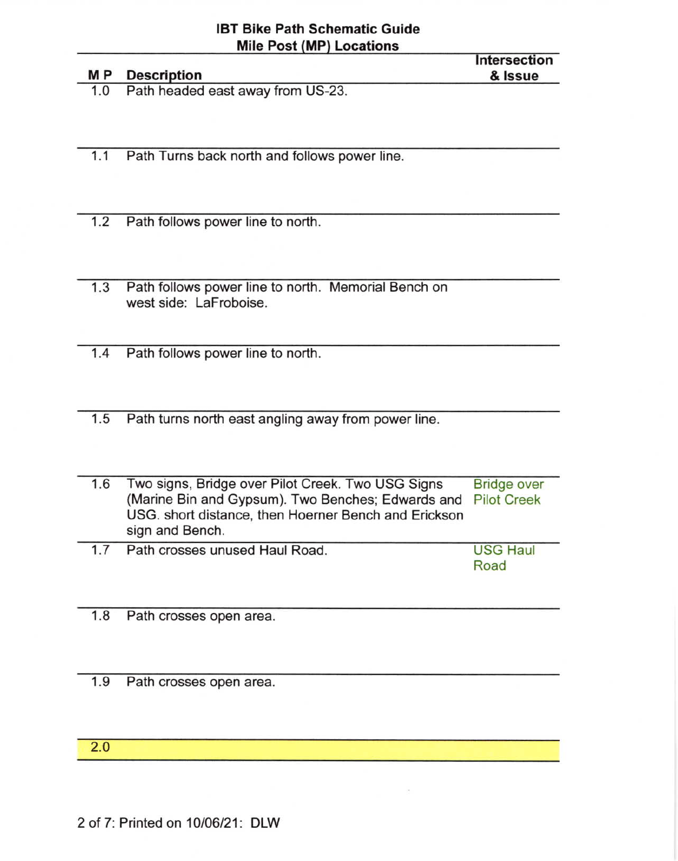|     | <b>MP</b> Description             | Intersection<br>& Issue |
|-----|-----------------------------------|-------------------------|
| 1.0 | Path headed east away from US-23. |                         |

1.1 Path Turns back north and follows power line.

- 1.2 Path follows power line to north.
- 1.3 Path follows power line to north. Memorial Bench on west side: LaFroboise.
- 1.4 Path follows power line to north
- 1.5 Path turns north east angling away from power line
- 1.6 Two signs, Bridge over Pilot Creek. Two USG Signs (Marine Bin and Gypsum). Two Benches; Edwards and Pilot Creek USG. short distance, then Hoemer Bench and Erickson sign and Bench. Bridge over
- 1.7 Path crosses unused Haul Road. USG Haul Road

1.8 Path crosses open area

1.9 Path crosses open area

2.O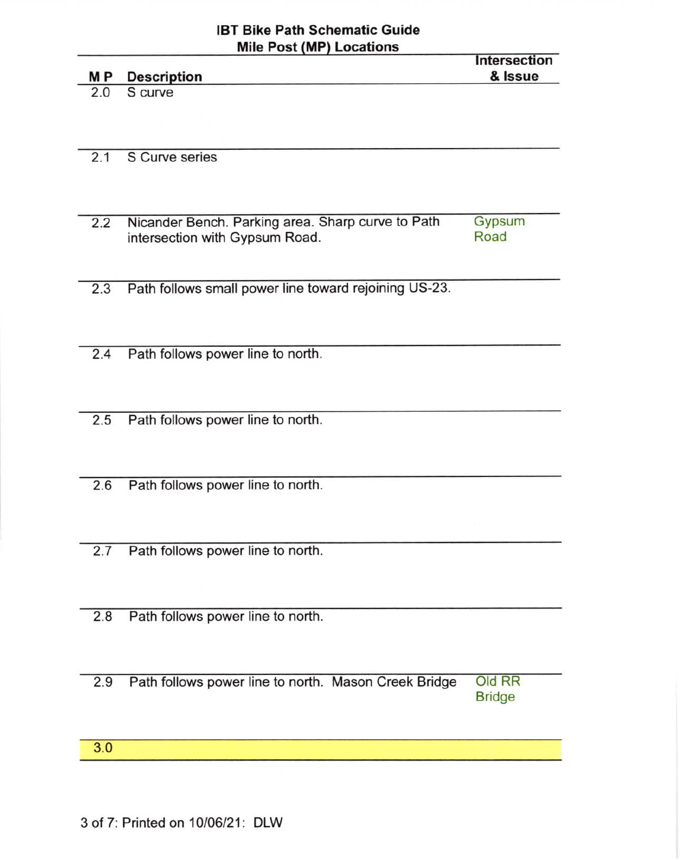## IBT Bike Path Schematic Guide  $M$ Mille Post (MP) Locations

|     | Mile Post (MP) Locations                              | <b>Intersection</b> |
|-----|-------------------------------------------------------|---------------------|
| MР  | <b>Description</b>                                    | & Issue             |
| 2.0 | S curve                                               |                     |
|     |                                                       |                     |
|     |                                                       |                     |
| 2.1 | S Curve series                                        |                     |
|     |                                                       |                     |
|     |                                                       |                     |
|     |                                                       |                     |
| 2.2 | Nicander Bench. Parking area. Sharp curve to Path     | Gypsum              |
|     | intersection with Gypsum Road.                        | Road                |
|     |                                                       |                     |
| 2.3 | Path follows small power line toward rejoining US-23. |                     |
|     |                                                       |                     |
|     |                                                       |                     |
|     |                                                       |                     |
| 2.4 | Path follows power line to north.                     |                     |
|     |                                                       |                     |
|     |                                                       |                     |
| 2.5 |                                                       |                     |
|     | Path follows power line to north.                     |                     |
|     |                                                       |                     |
|     |                                                       |                     |
| 2.6 | Path follows power line to north.                     |                     |
|     |                                                       |                     |
|     |                                                       |                     |
|     |                                                       |                     |
| 2.7 | Path follows power line to north.                     |                     |
|     |                                                       |                     |
|     |                                                       |                     |
| 2.8 | Path follows power line to north.                     |                     |
|     |                                                       |                     |
|     |                                                       |                     |
|     |                                                       |                     |
| 2.9 | Path follows power line to north. Mason Creek Bridge  | Old RR              |
|     |                                                       | <b>Bridge</b>       |
|     |                                                       |                     |
| 3.0 |                                                       |                     |